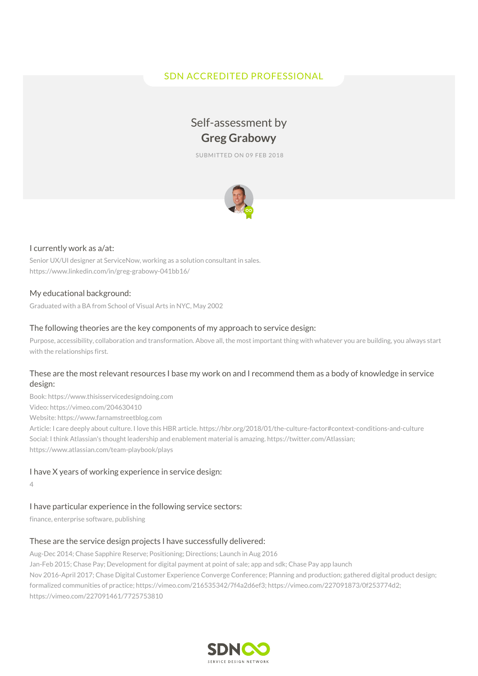# SDN ACCREDITED PROFESSIONAL

# Self-assessment by **Greg Grabowy**

SUBMITTED ON 09 FEB 2018



#### I currently work as a/at:

Senior UX/UI designer at ServiceNow, working as a solution consultant in sales. https://www.linkedin.com/in/greg-grabowy-041bb16/

### My educational background:

Graduated with a BA from School of Visual Arts in NYC, May 2002

#### The following theories are the key components of my approach to service design:

Purpose, accessibility, collaboration and transformation. Above all, the most important thing with whatever you are building, you always start with the relationships first.

### These are the most relevant resources I base my work on and I recommend them as a body of knowledge in service design:

Book: https://www.thisisservicedesigndoing.com Video: https://vimeo.com/204630410 Website: https://www.farnamstreetblog.com Article: I care deeply about culture. I love this HBR article. https://hbr.org/2018/01/the-culture-factor#context-conditions-and-culture Social: I think Atlassian's thought leadership and enablement material is amazing. https://twitter.com/Atlassian; https://www.atlassian.com/team-playbook/plays

#### I have X years of working experience in service design:

4

# I have particular experience in the following service sectors:

finance, enterprise software, publishing

# These are the service design projects I have successfully delivered:

Aug-Dec 2014; Chase Sapphire Reserve; Positioning; Directions; Launch in Aug 2016 Jan-Feb 2015; Chase Pay; Development for digital payment at point of sale; app and sdk; Chase Pay app launch Nov 2016-April 2017; Chase Digital Customer Experience Converge Conference; Planning and production; gathered digital product design; formalized communities of practice; https://vimeo.com/216535342/7f4a2d6ef3; https://vimeo.com/227091873/0f253774d2; https://vimeo.com/227091461/7725753810

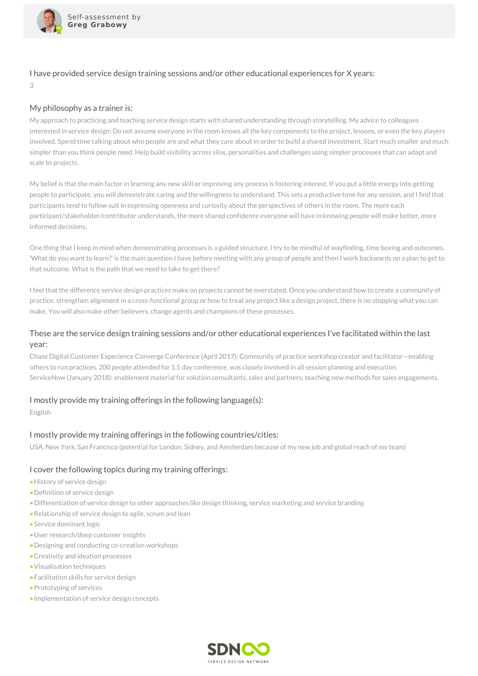

I have provided service design training sessions and/or other educational experiences for X years: 3

#### My philosophy as a trainer is:

My approach to practicing and teaching service design starts with shared understanding through storytelling. My advice to colleagues interested in service design: Do not assume everyone in the room knows all the key components to the project, lessons, or even the key players involved. Spend time talking about who people are and what they care about in order to build a shared investment. Start much smaller and much simpler than you think people need. Help build visibility across silos, personalities and challenges using simpler processes that can adapt and scale to projects.

My belief is that the main factor in learning any new skill or improving any process is fostering interest. If you put a little energy into getting people to participate, you will demonstrate caring and the willingness to understand. This sets a productive tone for any session, and I find that participants tend to follow suit in expressing openness and curiosity about the perspectives of others in the room. The more each participant/stakeholder/contributor understands, the more shared confidence everyone will have in knowing people will make better, more informed decisions.

One thing that I keep in mind when demonstrating processes is a guided structure. I try to be mindful of wayfinding, time boxing and outcomes. 'What do you want to learn?' is the main question I have before meeting with any group of people and then I work backwards on a plan to get to that outcome. What is the path that we need to take to get there?

I feel that the difference service design practices make on projects cannot be overstated. Once you understand how to create a community of practice, strengthen alignment in a cross-functional group or how to treat any project like a design project, there is no stopping what you can make. You will also make other believers, change agents and champions of these processes.

# These are the service design training sessions and/or other educational experiences I've facilitated within the last year:

Chase Digital Customer Experience Converge Conference (April 2017): Community of practice workshop creator and facilitator—enabling others to run practices. 200 people attended for 1.5 day conference, was closely involved in all session planning and execution. ServiceNow (January 2018): enablement material for solution consultants, sales and partners; teaching new methods for sales engagements.

### I mostly provide my training offerings in the following language(s):

English

### I mostly provide my training offerings in the following countries/cities:

USA, New York, San Francisco (potential for London, Sidney, and Amsterdam because of my new job and global reach of my team)

### I cover the following topics during my training offerings:

- •History of service design
- •Definition of service design
- •Differentiation of service design to other approaches like design thinking, service marketing and service branding
- •Relationship of service design to agile, scrum and lean
- •Service dominant logic
- •User research/deep customer insights
- •Designing and conducting co-creation workshops
- •Creativity and ideation processes
- •Visualisation techniques
- •Facilitation skills for service design
- •Prototyping of services
- •Implementation of service design concepts

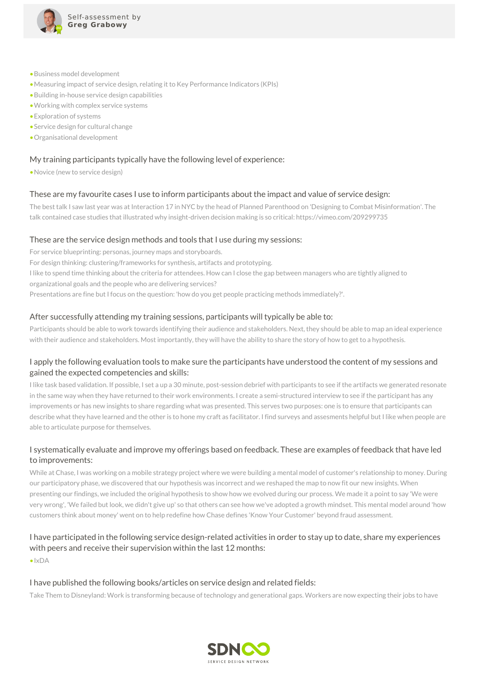

- •Business model development
- •Measuring impact of service design, relating it to Key Performance Indicators (KPIs)
- •Building in-house service design capabilities
- •Working with complex service systems
- •Exploration of systems
- •Service design for cultural change
- •Organisational development

#### My training participants typically have the following level of experience:

•Novice (new to service design)

#### These are my favourite cases I use to inform participants about the impact and value of service design:

The best talk I saw last year was at Interaction 17 in NYC by the head of Planned Parenthood on 'Designing to Combat Misinformation'. The talk contained case studies that illustrated why insight-driven decision making is so critical: https://vimeo.com/209299735

#### These are the service design methods and tools that I use during my sessions:

For service blueprinting: personas, journey maps and storyboards. For design thinking: clustering/frameworks for synthesis, artifacts and prototyping. I like to spend time thinking about the criteria for attendees. How can I close the gap between managers who are tightly aligned to organizational goals and the people who are delivering services? Presentations are fine but I focus on the question: 'how do you get people practicing methods immediately?'.

#### After successfully attending my training sessions, participants will typically be able to:

Participants should be able to work towards identifying their audience and stakeholders. Next, they should be able to map an ideal experience with their audience and stakeholders. Most importantly, they will have the ability to share the story of how to get to a hypothesis.

# I apply the following evaluation tools to make sure the participants have understood the content of my sessions and gained the expected competencies and skills:

I like task based validation. If possible, I set a up a 30 minute, post-session debrief with participants to see if the artifacts we generated resonate in the same way when they have returned to their work environments. I create a semi-structured interview to see if the participant has any improvements or has new insights to share regarding what was presented. This serves two purposes: one is to ensure that participants can describe what they have learned and the other is to hone my craft as facilitator. I find surveys and assesments helpful but I like when people are able to articulate purpose for themselves.

# I systematically evaluate and improve my offerings based on feedback. These are examples of feedback that have led to improvements:

While at Chase, I was working on a mobile strategy project where we were building a mental model of customer's relationship to money. During our participatory phase, we discovered that our hypothesis was incorrect and we reshaped the map to now fit our new insights. When presenting our findings, we included the original hypothesis to show how we evolved during our process. We made it a point to say 'We were very wrong', 'We failed but look, we didn't give up' so that others can see how we've adopted a growth mindset. This mental model around 'how customers think about money' went on to help redefine how Chase defines 'Know Your Customer' beyond fraud assessment.

# I have participated in the following service design-related activities in order to stay up to date, share my experiences with peers and receive their supervision within the last 12 months:

 $\bullet$ IxDA

#### I have published the following books/articles on service design and related fields:

Take Them to Disneyland: Work is transforming because of technology and generational gaps. Workers are now expecting their jobs to have